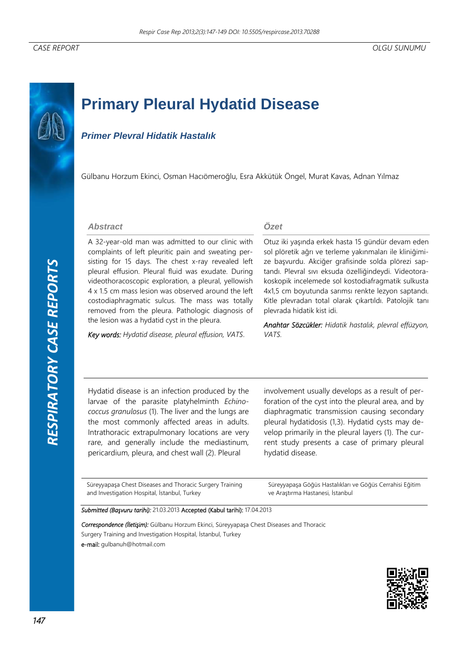# **Primary Pleural Hydatid Disease**

# *Primer Plevral Hidatik Hastalık*

Gülbanu Horzum Ekinci, Osman Hacıömeroğlu, Esra Akkütük Öngel, Murat Kavas, Adnan Yılmaz

#### *Abstract*

A 32-year-old man was admitted to our clinic with complaints of left pleuritic pain and sweating persisting for 15 days. The chest x-ray revealed left pleural effusion. Pleural fluid was exudate. During videothoracoscopic exploration, a pleural, yellowish 4 x 1.5 cm mass lesion was observed around the left costodiaphragmatic sulcus. The mass was totally removed from the pleura. Pathologic diagnosis of the lesion was a hydatid cyst in the pleura.

*Key words: Hydatid disease, pleural effusion, VATS*.

#### *Özet*

Otuz iki yaşında erkek hasta 15 gündür devam eden sol plöretik ağrı ve terleme yakınmaları ile kliniğimize başvurdu. Akciğer grafisinde solda plörezi saptandı. Plevral sıvı eksuda özelliğindeydi. Videotorakoskopik incelemede sol kostodiafragmatik sulkusta 4x1,5 cm boyutunda sarımsı renkte lezyon saptandı. Kitle plevradan total olarak çıkartıldı. Patolojik tanı plevrada hidatik kist idi.

*Anahtar Sözcükler: Hidatik hastalık, plevral effüzyon, VATS.* 

Hydatid disease is an infection produced by the larvae of the parasite platyhelminth *Echinococcus granulosus* (1). The liver and the lungs are the most commonly affected areas in adults. Intrathoracic extrapulmonary locations are very rare, and generally include the mediastinum, pericardium, pleura, and chest wall (2). Pleural

involvement usually develops as a result of perforation of the cyst into the pleural area, and by diaphragmatic transmission causing secondary pleural hydatidosis (1,3). Hydatid cysts may develop primarily in the pleural layers (1). The current study presents a case of primary pleural hydatid disease.

Süreyyapaşa Chest Diseases and Thoracic Surgery Training and Investigation Hospital, İstanbul, Turkey

Süreyyapaşa Göğüs Hastalıkları ve Göğüs Cerrahisi Eğitim ve Araştırma Hastanesi, İstanbul

*Submitted (Başvuru tarihi):* 21.03.2013 Accepted (Kabul tarihi): 17.04.2013

*Correspondence (İletişim):* Gülbanu Horzum Ekinci, Süreyyapaşa Chest Diseases and Thoracic Surgery Training and Investigation Hospital, İstanbul, Turkey e-mail: gulbanuh@hotmail.com

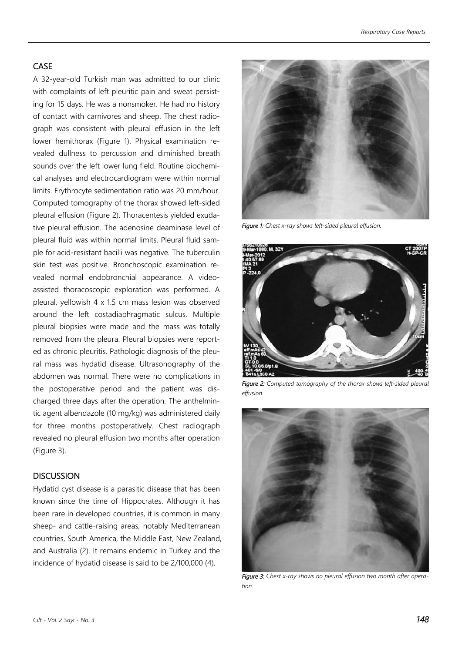## CASE

A 32-year-old Turkish man was admitted to our clinic with complaints of left pleuritic pain and sweat persisting for 15 days. He was a nonsmoker. He had no history of contact with carnivores and sheep. The chest radiograph was consistent with pleural effusion in the left lower hemithorax (Figure 1). Physical examination revealed dullness to percussion and diminished breath sounds over the left lower lung field. Routine biochemical analyses and electrocardiogram were within normal limits. Erythrocyte sedimentation ratio was 20 mm/hour. Computed tomography of the thorax showed left-sided pleural effusion (Figure 2). Thoracentesis yielded exudative pleural effusion. The adenosine deaminase level of pleural fluid was within normal limits. Pleural fluid sample for acid-resistant bacilli was negative. The tuberculin skin test was positive. Bronchoscopic examination revealed normal endobronchial appearance. A videoassisted thoracoscopic exploration was performed. A pleural, yellowish 4 x 1.5 cm mass lesion was observed around the left costadiaphragmatic sulcus. Multiple pleural biopsies were made and the mass was totally removed from the pleura. Pleural biopsies were reported as chronic pleuritis. Pathologic diagnosis of the pleural mass was hydatid disease. Ultrasonography of the abdomen was normal. There were no complications in the postoperative period and the patient was discharged three days after the operation. The anthelmintic agent albendazole (10 mg/kg) was administered daily for three months postoperatively. Chest radiograph revealed no pleural effusion two months after operation (Figure 3).

### **DISCUSSION**

Hydatid cyst disease is a parasitic disease that has been known since the time of Hippocrates. Although it has been rare in developed countries, it is common in many sheep- and cattle-raising areas, notably Mediterranean countries, South America, the Middle East, New Zealand, and Australia (2). It remains endemic in Turkey and the incidence of hydatid disease is said to be 2/100,000 (4).



*Figure 1: Chest x-ray shows left-sided pleural effusion.* 



*Figure 2: Computed tomography of the thorax shows left-sided pleural effusion.* 



*Figure 3: Chest x-ray shows no pleural effusion two month after operation.*